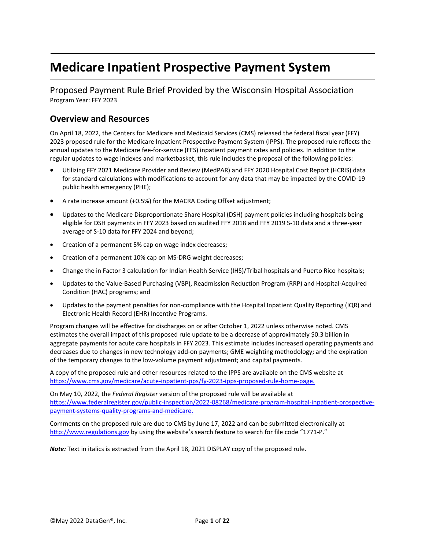# **Medicare Inpatient Prospective Payment System**

Proposed Payment Rule Brief Provided by the Wisconsin Hospital Association Program Year: FFY 2023

## **Overview and Resources**

On April 18, 2022, the Centers for Medicare and Medicaid Services (CMS) released the federal fiscal year (FFY) 2023 proposed rule for the Medicare Inpatient Prospective Payment System (IPPS). The proposed rule reflects the annual updates to the Medicare fee-for-service (FFS) inpatient payment rates and policies. In addition to the regular updates to wage indexes and marketbasket, this rule includes the proposal of the following policies:

- Utilizing FFY 2021 Medicare Provider and Review (MedPAR) and FFY 2020 Hospital Cost Report (HCRIS) data for standard calculations with modifications to account for any data that may be impacted by the COVID-19 public health emergency (PHE);
- A rate increase amount (+0.5%) for the MACRA Coding Offset adjustment;
- Updates to the Medicare Disproportionate Share Hospital (DSH) payment policies including hospitals being eligible for DSH payments in FFY 2023 based on audited FFY 2018 and FFY 2019 S-10 data and a three-year average of S-10 data for FFY 2024 and beyond;
- Creation of a permanent 5% cap on wage index decreases;
- Creation of a permanent 10% cap on MS-DRG weight decreases;
- Change the in Factor 3 calculation for Indian Health Service (IHS)/Tribal hospitals and Puerto Rico hospitals;
- Updates to the Value-Based Purchasing (VBP), Readmission Reduction Program (RRP) and Hospital-Acquired Condition (HAC) programs; and
- Updates to the payment penalties for non-compliance with the Hospital Inpatient Quality Reporting (IQR) and Electronic Health Record (EHR) Incentive Programs.

Program changes will be effective for discharges on or after October 1, 2022 unless otherwise noted. CMS estimates the overall impact of this proposed rule update to be a decrease of approximately \$0.3 billion in aggregate payments for acute care hospitals in FFY 2023. This estimate includes increased operating payments and decreases due to changes in new technology add-on payments; GME weighting methodology; and the expiration of the temporary changes to the low-volume payment adjustment; and capital payments.

A copy of the proposed rule and other resources related to the IPPS are available on the CMS website at [https://www.cms.gov/medicare/acute-inpatient-pps/fy-2023-ipps-proposed-rule-home-page.](https://www.cms.gov/medicare/acute-inpatient-pps/fy-2023-ipps-proposed-rule-home-page)

On May 10, 2022, the *Federal Register* version of the proposed rule will be available at [https://www.federalregister.gov/public-inspection/2022-08268/medicare-program-hospital-inpatient-prospective](https://www.federalregister.gov/public-inspection/2022-08268/medicare-program-hospital-inpatient-prospective-payment-systems-quality-programs-and-medicare)[payment-systems-quality-programs-and-medicare.](https://www.federalregister.gov/public-inspection/2022-08268/medicare-program-hospital-inpatient-prospective-payment-systems-quality-programs-and-medicare)

Comments on the proposed rule are due to CMS by June 17, 2022 and can be submitted electronically at [http://www.regulations.gov](http://www.regulations.gov/) by using the website's search feature to search for file code "1771-P."

*Note:* Text in italics is extracted from the April 18, 2021 DISPLAY copy of the proposed rule.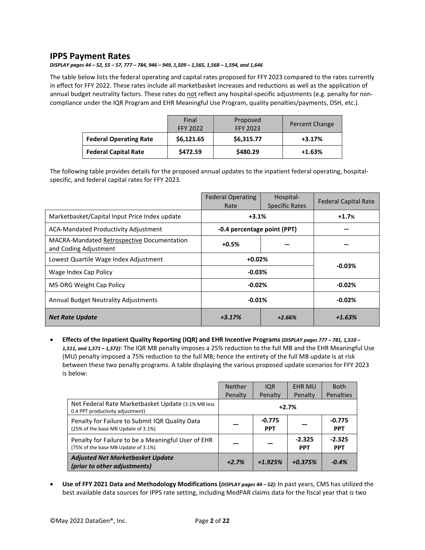#### **IPPS Payment Rates**

*DISPLAY pages 44 – 52, 55 – 57, 777 – 784, 946 – 949, 1,509 – 1,565, 1,568 – 1,594, and 1,646*

The table below lists the federal operating and capital rates proposed for FFY 2023 compared to the rates currently in effect for FFY 2022. These rates include all marketbasket increases and reductions as well as the application of annual budget neutrality factors. These rates do not reflect any hospital-specific adjustments (e.g. penalty for noncompliance under the IQR Program and EHR Meaningful Use Program, quality penalties/payments, DSH, etc.).

|                               | Final<br><b>FFY 2022</b> | Proposed<br><b>FFY 2023</b> | Percent Change |
|-------------------------------|--------------------------|-----------------------------|----------------|
| <b>Federal Operating Rate</b> | \$6,121.65               | \$6,315.77                  | $+3.17%$       |
| <b>Federal Capital Rate</b>   | \$472.59                 | \$480.29                    | $+1.63%$       |

The following table provides details for the proposed annual updates to the inpatient federal operating, hospitalspecific, and federal capital rates for FFY 2023.

|                                                                            | <b>Federal Operating</b><br>Rate | Hospital-<br><b>Specific Rates</b> | <b>Federal Capital Rate</b> |
|----------------------------------------------------------------------------|----------------------------------|------------------------------------|-----------------------------|
| Marketbasket/Capital Input Price Index update                              | $+3.1%$                          |                                    | $+1.7%$                     |
| ACA-Mandated Productivity Adjustment                                       | -0.4 percentage point (PPT)      |                                    |                             |
| <b>MACRA-Mandated Retrospective Documentation</b><br>and Coding Adjustment | $+0.5%$                          |                                    |                             |
| Lowest Quartile Wage Index Adjustment                                      | $+0.02%$                         |                                    | $-0.03\%$                   |
| Wage Index Cap Policy                                                      | $-0.03%$                         |                                    |                             |
| <b>MS-DRG Weight Cap Policy</b>                                            | $-0.02%$                         |                                    | $-0.02%$                    |
| <b>Annual Budget Neutrality Adjustments</b>                                | $-0.01%$                         |                                    | $-0.02%$                    |
| <b>Net Rate Update</b>                                                     | $+3.17%$                         | $+2.66%$                           | $+1.63%$                    |

• **Effects of the Inpatient Quality Reporting (IQR) and EHR Incentive Programs** *(DISPLAY pages 777 – 781, 1,510 – 1,511, and 1,571 – 1,572)*: The IQR MB penalty imposes a 25% reduction to the full MB and the EHR Meaningful Use (MU) penalty imposed a 75% reduction to the full MB; hence the entirety of the full MB update is at risk between these two penalty programs. A table displaying the various proposed update scenarios for FFY 2023 is below:

|                                                                                           | <b>Neither</b> | <b>IQR</b>             | <b>EHR MU</b>          | <b>Both</b>            |
|-------------------------------------------------------------------------------------------|----------------|------------------------|------------------------|------------------------|
|                                                                                           | Penalty        | Penalty                | Penalty                | Penalties              |
| Net Federal Rate Marketbasket Update (3.1% MB less)<br>0.4 PPT productivity adjustment)   | $+2.7%$        |                        |                        |                        |
| Penalty for Failure to Submit IQR Quality Data<br>(25% of the base MB Update of 3.1%)     |                | $-0.775$<br><b>PPT</b> |                        | $-0.775$<br><b>PPT</b> |
| Penalty for Failure to be a Meaningful User of EHR<br>(75% of the base MB Update of 3.1%) |                |                        | $-2.325$<br><b>PPT</b> | $-2.325$<br><b>PPT</b> |
| <b>Adjusted Net Marketbasket Update</b><br>(prior to other adjustments)                   | $+2.7%$        | $+1.925%$              | $+0.375%$              | $-0.4%$                |

• **Use of FFY 2021 Data and Methodology Modifications (***DISPLAY pages 44 – 52):* In past years, CMS has utilized the best available data sources for IPPS rate setting, including MedPAR claims data for the fiscal year that is two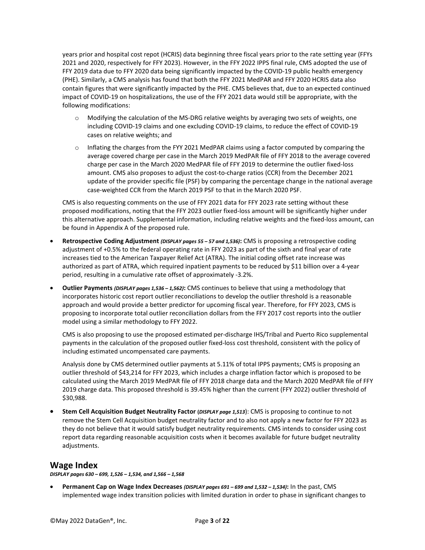years prior and hospital cost repot (HCRIS) data beginning three fiscal years prior to the rate setting year (FFYs 2021 and 2020, respectively for FFY 2023). However, in the FFY 2022 IPPS final rule, CMS adopted the use of FFY 2019 data due to FFY 2020 data being significantly impacted by the COVID-19 public health emergency (PHE). Similarly, a CMS analysis has found that both the FFY 2021 MedPAR and FFY 2020 HCRIS data also contain figures that were significantly impacted by the PHE. CMS believes that, due to an expected continued impact of COVID-19 on hospitalizations, the use of the FFY 2021 data would still be appropriate, with the following modifications:

- o Modifying the calculation of the MS-DRG relative weights by averaging two sets of weights, one including COVID-19 claims and one excluding COVID-19 claims, to reduce the effect of COVID-19 cases on relative weights; and
- o Inflating the charges from the FYY 2021 MedPAR claims using a factor computed by comparing the average covered charge per case in the March 2019 MedPAR file of FFY 2018 to the average covered charge per case in the March 2020 MedPAR file of FFY 2019 to determine the outlier fixed-loss amount. CMS also proposes to adjust the cost-to-charge ratios (CCR) from the December 2021 update of the provider specific file (PSF) by comparing the percentage change in the national average case-weighted CCR from the March 2019 PSF to that in the March 2020 PSF.

CMS is also requesting comments on the use of FFY 2021 data for FFY 2023 rate setting without these proposed modifications, noting that the FFY 2023 outlier fixed-loss amount will be significantly higher under this alternative approach. Supplemental information, including relative weights and the fixed-loss amount, can be found in Appendix A of the proposed rule.

- **Retrospective Coding Adjustment** *(DISPLAY pages 55 – 57 and 1,536)***:** CMS is proposing a retrospective coding adjustment of +0.5% to the federal operating rate in FFY 2023 as part of the sixth and final year of rate increases tied to the American Taxpayer Relief Act (ATRA). The initial coding offset rate increase was authorized as part of ATRA, which required inpatient payments to be reduced by \$11 billion over a 4-year period, resulting in a cumulative rate offset of approximately -3.2%.
- **Outlier Payments** *(DISPLAY pages 1,536 – 1,562)***:** CMS continues to believe that using a methodology that incorporates historic cost report outlier reconciliations to develop the outlier threshold is a reasonable approach and would provide a better predictor for upcoming fiscal year. Therefore, for FFY 2023, CMS is proposing to incorporate total outlier reconciliation dollars from the FFY 2017 cost reports into the outlier model using a similar methodology to FFY 2022.

CMS is also proposing to use the proposed estimated per-discharge IHS/Tribal and Puerto Rico supplemental payments in the calculation of the proposed outlier fixed-loss cost threshold, consistent with the policy of including estimated uncompensated care payments.

Analysis done by CMS determined outlier payments at 5.11% of total IPPS payments; CMS is proposing an outlier threshold of \$43,214 for FFY 2023, which includes a charge inflation factor which is proposed to be calculated using the March 2019 MedPAR file of FFY 2018 charge data and the March 2020 MedPAR file of FFY 2019 charge data. This proposed threshold is 39.45% higher than the current (FFY 2022) outlier threshold of \$30,988.

• **Stem Cell Acquisition Budget Neutrality Factor (***DISPLAY page 1,513*): CMS is proposing to continue to not remove the Stem Cell Acquisition budget neutrality factor and to also not apply a new factor for FFY 2023 as they do not believe that it would satisfy budget neutrality requirements. CMS intends to consider using cost report data regarding reasonable acquisition costs when it becomes available for future budget neutrality adjustments.

### **Wage Index**

*DISPLAY pages 630 – 699, 1,526 – 1,534, and 1,566 – 1,568*

• **Permanent Cap on Wage Index Decreases** *(DISPLAY pages 691 – 699 and 1,532 – 1,534)***:** In the past, CMS implemented wage index transition policies with limited duration in order to phase in significant changes to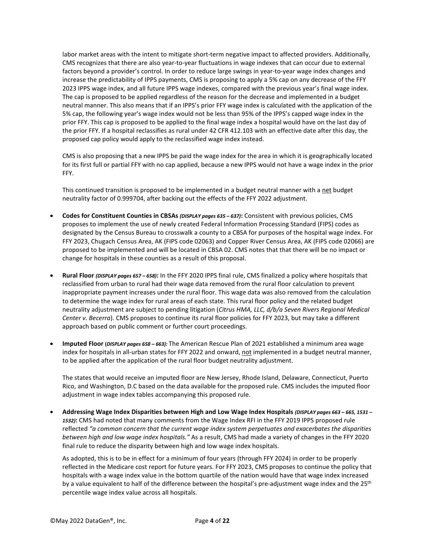labor market areas with the intent to mitigate short-term negative impact to affected providers. Additionally, CMS recognizes that there are also year-to-year fluctuations in wage indexes that can occur due to external factors beyond a provider's control. In order to reduce large swings in year-to-year wage index changes and increase the predictability of IPPS payments, CMS is proposing to apply a 5% cap on any decrease of the FFY 2023 IPPS wage index, and all future IPPS wage indexes, compared with the previous year's final wage index. The cap is proposed to be applied regardless of the reason for the decrease and implemented in a budget neutral manner. This also means that if an IPPS's prior FFY wage index is calculated with the application of the 5% cap, the following year's wage index would not be less than 95% of the IPPS's capped wage index in the prior FFY. This cap is proposed to be applied to the final wage index a hospital would have on the last day of the prior FFY. If a hospital reclassifies as rural under 42 CFR 412.103 with an effective date after this day, the proposed cap policy would apply to the reclassified wage index instead.

CMS is also proposing that a new IPPS be paid the wage index for the area in which it is geographically located for its first full or partial FFY with no cap applied, because a new IPPS would not have a wage index in the prior FFY.

This continued transition is proposed to be implemented in a budget neutral manner with a net budget neutrality factor of 0.999704, after backing out the effects of the FFY 2022 adjustment.

- **Codes for Constituent Counties in CBSAs** *(DISPLAY pages 635 637)***:** Consistent with previous policies, CMS proposes to implement the use of newly created Federal Information Processing Standard (FIPS) codes as designated by the Census Bureau to crosswalk a county to a CBSA for purposes of the hospital wage index. For FFY 2023, Chugach Census Area, AK (FIPS code 02063) and Copper River Census Area, AK (FIPS code 02066) are proposed to be implemented and will be located in CBSA 02. CMS notes that that there will be no impact or change for hospitals in these counties as a result of this proposal.
- **Rural Floor** *(DISPLAY pages 657 658)***:** In the FFY 2020 IPPS final rule, CMS finalized a policy where hospitals that reclassified from urban to rural had their wage data removed from the rural floor calculation to prevent inappropriate payment increases under the rural floor. This wage data was also removed from the calculation to determine the wage index for rural areas of each state. This rural floor policy and the related budget neutrality adjustment are subject to pending litigation (*Citrus HMA, LLC, d/b/a Seven Rivers Regional Medical Center v. Becerra*). CMS proposes to continue its rural floor policies for FFY 2023, but may take a different approach based on public comment or further court proceedings.
- **Imputed Floor (***DISPLAY pages 658 663):* The American Rescue Plan of 2021 established a minimum area wage index for hospitals in all-urban states for FFY 2022 and onward, not implemented in a budget neutral manner, to be applied after the application of the rural floor budget neutrality adjustment.

The states that would receive an imputed floor are New Jersey, Rhode Island, Delaware, Connecticut, Puerto Rico, and Washington, D.C based on the data available for the proposed rule. CMS includes the imputed floor adjustment in wage index tables accompanying this proposed rule.

• **Addressing Wage Index Disparities between High and Low Wage Index Hospitals** *(DISPLAY pages 663 – 665, 1531 – 1532)***:** CMS had noted that many comments from the Wage Index RFI in the FFY 2019 IPPS proposed rule reflected *"a common concern that the current wage index system perpetuates and exacerbates the disparities between high and low wage index hospitals."* As a result, CMS had made a variety of changes in the FFY 2020 final rule to reduce the disparity between high and low wage index hospitals.

As adopted, this is to be in effect for a minimum of four years (through FFY 2024) in order to be properly reflected in the Medicare cost report for future years. For FFY 2023, CMS proposes to continue the policy that hospitals with a wage index value in the bottom quartile of the nation would have that wage index increased by a value equivalent to half of the difference between the hospital's pre-adjustment wage index and the 25<sup>th</sup> percentile wage index value across all hospitals.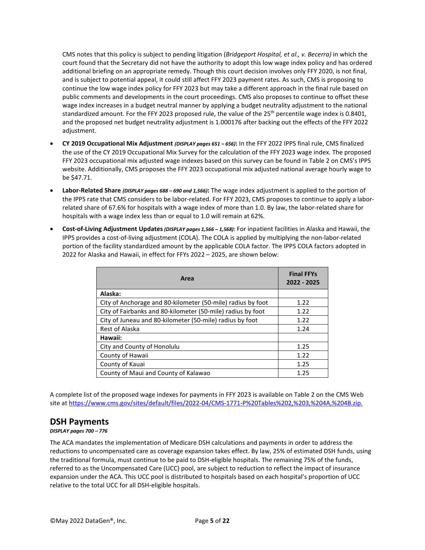CMS notes that this policy is subject to pending litigation (*Bridgeport Hospital, et al., v. Becerra)* in which the court found that the Secretary did not have the authority to adopt this low wage index policy and has ordered additional briefing on an appropriate remedy. Though this court decision involves only FFY 2020, is not final, and is subject to potential appeal, it could still affect FFY 2023 payment rates. As such, CMS is proposing to continue the low wage index policy for FFY 2023 but may take a different approach in the final rule based on public comments and developments in the court proceedings. CMS also proposes to continue to offset these wage index increases in a budget neutral manner by applying a budget neutrality adjustment to the national standardized amount. For the FFY 2023 proposed rule, the value of the 25<sup>th</sup> percentile wage index is 0.8401, and the proposed net budget neutrality adjustment is 1.000176 after backing out the effects of the FFY 2022 adjustment.

- **CY 2019 Occupational Mix Adjustment** *(DISPLAY pages 651 656)***:** In the FFY 2022 IPPS final rule, CMS finalized the use of the CY 2019 Occupational Mix Survey for the calculation of the FFY 2023 wage index. The proposed FFY 2023 occupational mix adjusted wage indexes based on this survey can be found in Table 2 on CMS's IPPS website. Additionally, CMS proposes the FFY 2023 occupational mix adjusted national average hourly wage to be \$47.71.
- **Labor-Related Share** *(DISPLAY pages 688 690 and 1,566)***:** The wage index adjustment is applied to the portion of the IPPS rate that CMS considers to be labor-related. For FFY 2023, CMS proposes to continue to apply a laborrelated share of 67.6% for hospitals with a wage index of more than 1.0. By law, the labor-related share for hospitals with a wage index less than or equal to 1.0 will remain at 62%.
- **Cost-of-Living Adjustment Updates***(DISPLAY pages 1,566 1,568):* For inpatient facilities in Alaska and Hawaii, the IPPS provides a cost-of-living adjustment (COLA). The COLA is applied by multiplying the non-labor-related portion of the facility standardized amount by the applicable COLA factor. The IPPS COLA factors adopted in 2022 for Alaska and Hawaii, in effect for FFYs 2022 – 2025, are shown below:

| Area                                                        | <b>Final FFYs</b><br>2022 - 2025 |
|-------------------------------------------------------------|----------------------------------|
| Alaska:                                                     |                                  |
| City of Anchorage and 80-kilometer (50-mile) radius by foot | 1.22                             |
| City of Fairbanks and 80-kilometer (50-mile) radius by foot | 1.22                             |
| City of Juneau and 80-kilometer (50-mile) radius by foot    | 1.22                             |
| Rest of Alaska                                              | 1.24                             |
| Hawaii:                                                     |                                  |
| City and County of Honolulu                                 | 1.25                             |
| County of Hawaii                                            | 1.22                             |
| County of Kauai                                             | 1.25                             |
| County of Maui and County of Kalawao                        | 1.25                             |

A complete list of the proposed wage indexes for payments in FFY 2023 is available on Table 2 on the CMS Web site at [https://www.cms.gov/sites/default/files/2022-04/CMS-1771-P%20Tables%202,%203,%204A,%204B.zip.](https://www.cms.gov/sites/default/files/2022-04/CMS-1771-P%20Tables%202,%203,%204A,%204B.zip)

#### **DSH Payments**

#### *DISPLAY pages 700 – 776*

The ACA mandates the implementation of Medicare DSH calculations and payments in order to address the reductions to uncompensated care as coverage expansion takes effect. By law, 25% of estimated DSH funds, using the traditional formula, must continue to be paid to DSH-eligible hospitals. The remaining 75% of the funds, referred to as the Uncompensated Care (UCC) pool, are subject to reduction to reflect the impact of insurance expansion under the ACA. This UCC pool is distributed to hospitals based on each hospital's proportion of UCC relative to the total UCC for all DSH-eligible hospitals.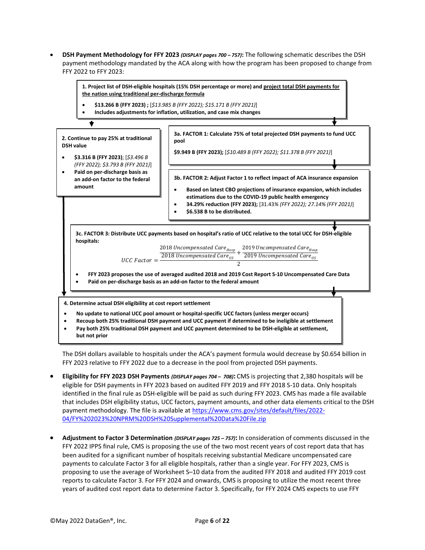• **DSH Payment Methodology for FFY 2023** *(DISPLAY pages 700 – 757)***:** The following schematic describes the DSH payment methodology mandated by the ACA along with how the program has been proposed to change from FFY 2022 to FFY 2023:

> **1. Project list of DSH-eligible hospitals (15% DSH percentage or more) and project total DSH payments for the nation using traditional per-discharge formula**

- **\$13.266 B (FFY 2023) ;** [*\$13.985 B (FFY 2022); \$15.171 B (FFY 2021)*]
- **Includes adjustments for inflation, utilization, and case mix changes**

**2. Continue to pay 25% at traditional DSH value**

• **\$3.316 B (FFY 2023)**; [*\$3.496 B* 

**3a. FACTOR 1: Calculate 75% of total projected DSH payments to fund UCC pool** 

**\$9.949 B (FFY 2023);** [*\$10.489 B (FFY 2022); \$11.378 B (FFY 2021)*]

*(FFY 2022); \$3.793 B (FFY 2021)*] • **Paid on per-discharge basis as an add-on factor to the federal amount**

 $\blacklozenge$ 

- **3b. FACTOR 2: Adjust Factor 1 to reflect impact of ACA insurance expansion**
- **Based on latest CBO projections of insurance expansion, which includes estimations due to the COVID-19 public health emergency**
- **34.29% reduction (FFY 2023);** [31.43*% (FFY 2022); 27.14% (FFY 2021)*]
- **\$6.538 B to be distributed.**

**3c. FACTOR 3: Distribute UCC payments based on hospital's ratio of UCC relative to the total UCC for DSH-eligible hospitals:**

$$
UCC Factor = \frac{2018 \text{ Uncompensated Care}_{\text{Hosp}}}{2018 \text{ Uncompensated Care}_{\text{US}}} + \frac{2019 \text{ Uncompensated Care}_{\text{Hosp}}}{2019 \text{ Uncompensated Care}_{\text{US}}}
$$

 $\overline{2}$ 

• **FFY 2023 proposes the use of averaged audited 2018 and 2019 Cost Report S-10 Uncompensated Care Data**

• **Paid on per-discharge basis as an add-on factor to the federal amount**

**4. Determine actual DSH eligibility at cost report settlement**

- **No update to national UCC pool amount or hospital-specific UCC factors (unless merger occurs)**
- **Recoup both 25% traditional DSH payment and UCC payment if determined to be ineligible at settlement**
- **Pay both 25% traditional DSH payment and UCC payment determined to be DSH-eligible at settlement,**
- **but not prior**

The DSH dollars available to hospitals under the ACA's payment formula would decrease by \$0.654 billion in FFY 2023 relative to FFY 2022 due to a decrease in the pool from projected DSH payments.

- **Eligibility for FFY 2023 DSH Payments** *(DISPLAY pages 704 708)***:** CMS is projecting that 2,380 hospitals will be eligible for DSH payments in FFY 2023 based on audited FFY 2019 and FFY 2018 S-10 data. Only hospitals identified in the final rule as DSH-eligible will be paid as such during FFY 2023. CMS has made a file available that includes DSH eligibility status, UCC factors, payment amounts, and other data elements critical to the DSH payment methodology. The file is available at [https://www.cms.gov/sites/default/files/2022-](https://www.cms.gov/sites/default/files/2022-04/FY%202023%20NPRM%20DSH%20Supplemental%20Data%20File.zip) [04/FY%202023%20NPRM%20DSH%20Supplemental%20Data%20File.zip](https://www.cms.gov/sites/default/files/2022-04/FY%202023%20NPRM%20DSH%20Supplemental%20Data%20File.zip)
- **Adjustment to Factor 3 Determination** *(DISPLAY pages 725 757)***:** In consideration of comments discussed in the FFY 2022 IPPS final rule, CMS is proposing the use of the two most recent years of cost report data that has been audited for a significant number of hospitals receiving substantial Medicare uncompensated care payments to calculate Factor 3 for all eligible hospitals, rather than a single year. For FFY 2023, CMS is proposing to use the average of Worksheet S–10 data from the audited FFY 2018 and audited FFY 2019 cost reports to calculate Factor 3. For FFY 2024 and onwards, CMS is proposing to utilize the most recent three years of audited cost report data to determine Factor 3. Specifically, for FFY 2024 CMS expects to use FFY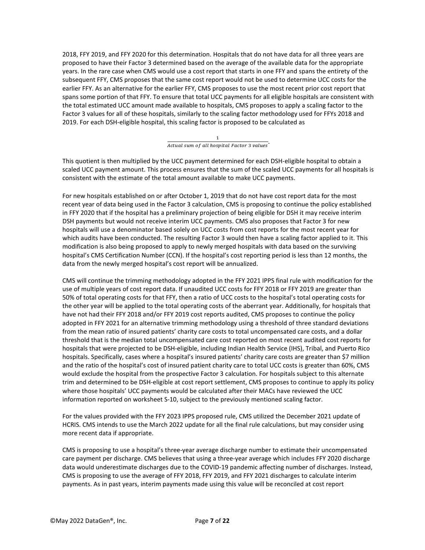2018, FFY 2019, and FFY 2020 for this determination. Hospitals that do not have data for all three years are proposed to have their Factor 3 determined based on the average of the available data for the appropriate years. In the rare case when CMS would use a cost report that starts in one FFY and spans the entirety of the subsequent FFY, CMS proposes that the same cost report would not be used to determine UCC costs for the earlier FFY. As an alternative for the earlier FFY, CMS proposes to use the most recent prior cost report that spans some portion of that FFY. To ensure that total UCC payments for all eligible hospitals are consistent with the total estimated UCC amount made available to hospitals, CMS proposes to apply a scaling factor to the Factor 3 values for all of these hospitals, similarly to the scaling factor methodology used for FFYs 2018 and 2019. For each DSH-eligible hospital, this scaling factor is proposed to be calculated as

> 1 Actual sum of all hospital Factor 3 values

This quotient is then multiplied by the UCC payment determined for each DSH-eligible hospital to obtain a scaled UCC payment amount. This process ensures that the sum of the scaled UCC payments for all hospitals is consistent with the estimate of the total amount available to make UCC payments.

For new hospitals established on or after October 1, 2019 that do not have cost report data for the most recent year of data being used in the Factor 3 calculation, CMS is proposing to continue the policy established in FFY 2020 that if the hospital has a preliminary projection of being eligible for DSH it may receive interim DSH payments but would not receive interim UCC payments. CMS also proposes that Factor 3 for new hospitals will use a denominator based solely on UCC costs from cost reports for the most recent year for which audits have been conducted. The resulting Factor 3 would then have a scaling factor applied to it. This modification is also being proposed to apply to newly merged hospitals with data based on the surviving hospital's CMS Certification Number (CCN). If the hospital's cost reporting period is less than 12 months, the data from the newly merged hospital's cost report will be annualized.

CMS will continue the trimming methodology adopted in the FFY 2021 IPPS final rule with modification for the use of multiple years of cost report data. If unaudited UCC costs for FFY 2018 or FFY 2019 are greater than 50% of total operating costs for that FFY, then a ratio of UCC costs to the hospital's total operating costs for the other year will be applied to the total operating costs of the aberrant year. Additionally, for hospitals that have not had their FFY 2018 and/or FFY 2019 cost reports audited, CMS proposes to continue the policy adopted in FFY 2021 for an alternative trimming methodology using a threshold of three standard deviations from the mean ratio of insured patients' charity care costs to total uncompensated care costs, and a dollar threshold that is the median total uncompensated care cost reported on most recent audited cost reports for hospitals that were projected to be DSH-eligible, including Indian Health Service (IHS), Tribal, and Puerto Rico hospitals. Specifically, cases where a hospital's insured patients' charity care costs are greater than \$7 million and the ratio of the hospital's cost of insured patient charity care to total UCC costs is greater than 60%, CMS would exclude the hospital from the prospective Factor 3 calculation. For hospitals subject to this alternate trim and determined to be DSH-eligible at cost report settlement, CMS proposes to continue to apply its policy where those hospitals' UCC payments would be calculated after their MACs have reviewed the UCC information reported on worksheet S-10, subject to the previously mentioned scaling factor.

For the values provided with the FFY 2023 IPPS proposed rule, CMS utilized the December 2021 update of HCRIS. CMS intends to use the March 2022 update for all the final rule calculations, but may consider using more recent data if appropriate.

CMS is proposing to use a hospital's three-year average discharge number to estimate their uncompensated care payment per discharge. CMS believes that using a three-year average which includes FFY 2020 discharge data would underestimate discharges due to the COVID-19 pandemic affecting number of discharges. Instead, CMS is proposing to use the average of FFY 2018, FFY 2019, and FFY 2021 discharges to calculate interim payments. As in past years, interim payments made using this value will be reconciled at cost report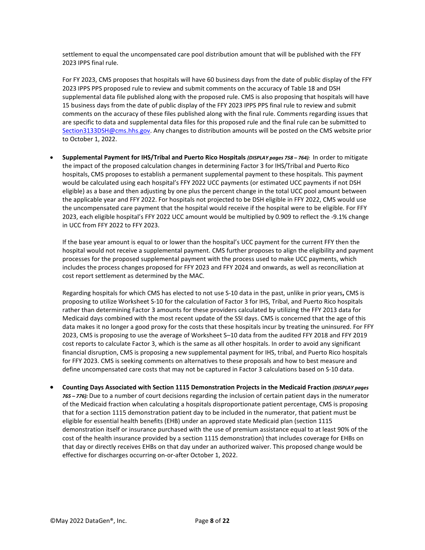settlement to equal the uncompensated care pool distribution amount that will be published with the FFY 2023 IPPS final rule.

For FY 2023, CMS proposes that hospitals will have 60 business days from the date of public display of the FFY 2023 IPPS PPS proposed rule to review and submit comments on the accuracy of Table 18 and DSH supplemental data file published along with the proposed rule. CMS is also proposing that hospitals will have 15 business days from the date of public display of the FFY 2023 IPPS PPS final rule to review and submit comments on the accuracy of these files published along with the final rule. Comments regarding issues that are specific to data and supplemental data files for this proposed rule and the final rule can be submitted to [Section3133DSH@cms.hhs.gov.](mailto:Section3133DSH@cms.hhs.gov) Any changes to distribution amounts will be posted on the CMS website prior to October 1, 2022.

• **Supplemental Payment for IHS/Tribal and Puerto Rico Hospitals** *(DISPLAY pages 758 – 764):* In order to mitigate the impact of the proposed calculation changes in determining Factor 3 for IHS/Tribal and Puerto Rico hospitals, CMS proposes to establish a permanent supplemental payment to these hospitals. This payment would be calculated using each hospital's FFY 2022 UCC payments (or estimated UCC payments if not DSH eligible) as a base and then adjusting by one plus the percent change in the total UCC pool amount between the applicable year and FFY 2022. For hospitals not projected to be DSH eligible in FFY 2022, CMS would use the uncompensated care payment that the hospital would receive if the hospital were to be eligible. For FFY 2023, each eligible hospital's FFY 2022 UCC amount would be multiplied by 0.909 to reflect the -9.1% change in UCC from FFY 2022 to FFY 2023.

If the base year amount is equal to or lower than the hospital's UCC payment for the current FFY then the hospital would not receive a supplemental payment. CMS further proposes to align the eligibility and payment processes for the proposed supplemental payment with the process used to make UCC payments, which includes the process changes proposed for FFY 2023 and FFY 2024 and onwards, as well as reconciliation at cost report settlement as determined by the MAC.

Regarding hospitals for which CMS has elected to not use S-10 data in the past, unlike in prior years**,** CMS is proposing to utilize Worksheet S-10 for the calculation of Factor 3 for IHS, Tribal, and Puerto Rico hospitals rather than determining Factor 3 amounts for these providers calculated by utilizing the FFY 2013 data for Medicaid days combined with the most recent update of the SSI days. CMS is concerned that the age of this data makes it no longer a good proxy for the costs that these hospitals incur by treating the uninsured. For FFY 2023, CMS is proposing to use the average of Worksheet S–10 data from the audited FFY 2018 and FFY 2019 cost reports to calculate Factor 3, which is the same as all other hospitals. In order to avoid any significant financial disruption, CMS is proposing a new supplemental payment for IHS, tribal, and Puerto Rico hospitals for FFY 2023. CMS is seeking comments on alternatives to these proposals and how to best measure and define uncompensated care costs that may not be captured in Factor 3 calculations based on S-10 data.

• **Counting Days Associated with Section 1115 Demonstration Projects in the Medicaid Fraction** *(DISPLAY pages 765 – 776):* Due to a number of court decisions regarding the inclusion of certain patient days in the numerator of the Medicaid fraction when calculating a hospitals disproportionate patient percentage, CMS is proposing that for a section 1115 demonstration patient day to be included in the numerator, that patient must be eligible for essential health benefits (EHB) under an approved state Medicaid plan (section 1115 demonstration itself or insurance purchased with the use of premium assistance equal to at least 90% of the cost of the health insurance provided by a section 1115 demonstration) that includes coverage for EHBs on that day or directly receives EHBs on that day under an authorized waiver. This proposed change would be effective for discharges occurring on-or-after October 1, 2022.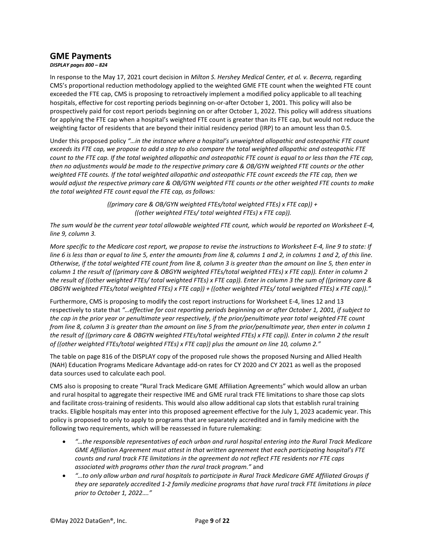#### **GME Payments**

*DISPLAY pages 800 – 824*

In response to the May 17, 2021 court decision in *Milton S. Hershey Medical Center, et al. v. Becerra,* regarding CMS's proportional reduction methodology applied to the weighted GME FTE count when the weighted FTE count exceeded the FTE cap, CMS is proposing to retroactively implement a modified policy applicable to all teaching hospitals, effective for cost reporting periods beginning on-or-after October 1, 2001. This policy will also be prospectively paid for cost report periods beginning on or after October 1, 2022. This policy will address situations for applying the FTE cap when a hospital's weighted FTE count is greater than its FTE cap, but would not reduce the weighting factor of residents that are beyond their initial residency period (IRP) to an amount less than 0.5.

Under this proposed policy *"…in the instance where a hospital's unweighted allopathic and osteopathic FTE count exceeds its FTE cap, we propose to add a step to also compare the total weighted allopathic and osteopathic FTE count to the FTE cap. If the total weighted allopathic and osteopathic FTE count is equal to or less than the FTE cap, then no adjustments would be made to the respective primary care & OB/GYN weighted FTE counts or the other weighted FTE counts. If the total weighted allopathic and osteopathic FTE count exceeds the FTE cap, then we would adjust the respective primary care & OB/GYN weighted FTE counts or the other weighted FTE counts to make the total weighted FTE count equal the FTE cap, as follows:*

> *((primary care & OB/GYN weighted FTEs/total weighted FTEs) x FTE cap)) + ((other weighted FTEs/ total weighted FTEs) x FTE cap)).*

*The sum would be the current year total allowable weighted FTE count, which would be reported on Worksheet E-4, line 9, column 3.*

*More specific to the Medicare cost report, we propose to revise the instructions to Worksheet E-4, line 9 to state: If line 6 is less than or equal to line 5, enter the amounts from line 8, columns 1 and 2, in columns 1 and 2, of this line. Otherwise, if the total weighted FTE count from line 8, column 3 is greater than the amount on line 5, then enter in column 1 the result of ((primary care & OBGYN weighted FTEs/total weighted FTEs) x FTE cap)). Enter in column 2 the result of ((other weighted FTEs/ total weighted FTEs) x FTE cap)). Enter in column 3 the sum of ((primary care & OBGYN weighted FTEs/total weighted FTEs) x FTE cap)) + ((other weighted FTEs/ total weighted FTEs) x FTE cap))."*

Furthermore, CMS is proposing to modify the cost report instructions for Worksheet E-4, lines 12 and 13 respectively to state that *"…effective for cost reporting periods beginning on or after October 1, 2001, if subject to the cap in the prior year or penultimate year respectively, if the prior/penultimate year total weighted FTE count from line 8, column 3 is greater than the amount on line 5 from the prior/penultimate year, then enter in column 1 the result of ((primary care & OBGYN weighted FTEs/total weighted FTEs) x FTE cap)). Enter in column 2 the result of ((other weighted FTEs/total weighted FTEs) x FTE cap)) plus the amount on line 10, column 2."*

The table on page 816 of the DISPLAY copy of the proposed rule shows the proposed Nursing and Allied Health (NAH) Education Programs Medicare Advantage add-on rates for CY 2020 and CY 2021 as well as the proposed data sources used to calculate each pool.

CMS also is proposing to create "Rural Track Medicare GME Affiliation Agreements" which would allow an urban and rural hospital to aggregate their respective IME and GME rural track FTE limitations to share those cap slots and facilitate cross-training of residents. This would also allow additional cap slots that establish rural training tracks. Eligible hospitals may enter into this proposed agreement effective for the July 1, 2023 academic year. This policy is proposed to only to apply to programs that are separately accredited and in family medicine with the following two requirements, which will be reassessed in future rulemaking:

- *"…the responsible representatives of each urban and rural hospital entering into the Rural Track Medicare GME Affiliation Agreement must attest in that written agreement that each participating hospital's FTE counts and rural track FTE limitations in the agreement do not reflect FTE residents nor FTE caps associated with programs other than the rural track program."* and
- *"…to only allow urban and rural hospitals to participate in Rural Track Medicare GME Affiliated Groups if they are separately accredited 1-2 family medicine programs that have rural track FTE limitations in place prior to October 1, 2022…."*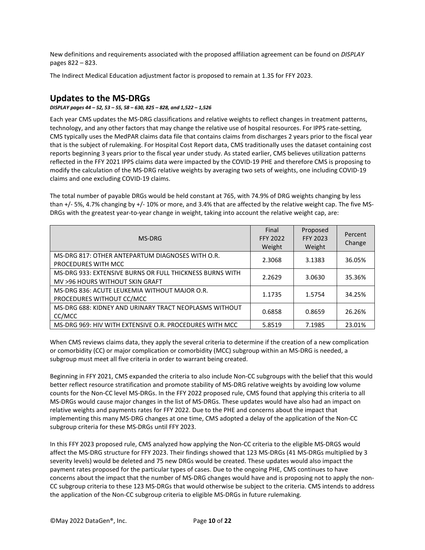New definitions and requirements associated with the proposed affiliation agreement can be found on *DISPLAY* pages 822 – 823.

The Indirect Medical Education adjustment factor is proposed to remain at 1.35 for FFY 2023.

### **Updates to the MS-DRGs**

*DISPLAY pages 44 – 52, 53 – 55, 58 – 630, 825 – 828, and 1,522 – 1,526*

Each year CMS updates the MS-DRG classifications and relative weights to reflect changes in treatment patterns, technology, and any other factors that may change the relative use of hospital resources. For IPPS rate-setting, CMS typically uses the MedPAR claims data file that contains claims from discharges 2 years prior to the fiscal year that is the subject of rulemaking. For Hospital Cost Report data, CMS traditionally uses the dataset containing cost reports beginning 3 years prior to the fiscal year under study. As stated earlier, CMS believes utilization patterns reflected in the FFY 2021 IPPS claims data were impacted by the COVID-19 PHE and therefore CMS is proposing to modify the calculation of the MS-DRG relative weights by averaging two sets of weights, one including COVID-19 claims and one excluding COVID-19 claims.

The total number of payable DRGs would be held constant at 765, with 74.9% of DRG weights changing by less than +/- 5%, 4.7% changing by +/- 10% or more, and 3.4% that are affected by the relative weight cap. The five MS-DRGs with the greatest year-to-year change in weight, taking into account the relative weight cap, are:

| MS-DRG                                                                                      | Final<br><b>FFY 2022</b><br>Weight | Proposed<br><b>FFY 2023</b><br>Weight | Percent<br>Change |
|---------------------------------------------------------------------------------------------|------------------------------------|---------------------------------------|-------------------|
| MS-DRG 817: OTHER ANTEPARTUM DIAGNOSES WITH O.R.<br>PROCEDURES WITH MCC                     | 2.3068                             | 3.1383                                | 36.05%            |
| MS-DRG 933: EXTENSIVE BURNS OR FULL THICKNESS BURNS WITH<br>MV >96 HOURS WITHOUT SKIN GRAFT | 2.2629                             | 3.0630                                | 35.36%            |
| MS-DRG 836: ACUTE LEUKEMIA WITHOUT MAJOR O.R.<br>PROCEDURES WITHOUT CC/MCC                  | 1.1735                             | 1.5754                                | 34.25%            |
| MS-DRG 688: KIDNEY AND URINARY TRACT NEOPLASMS WITHOUT<br>CC/MCC                            | 0.6858                             | 0.8659                                | 26.26%            |
| MS-DRG 969: HIV WITH EXTENSIVE O.R. PROCEDURES WITH MCC                                     | 5.8519                             | 7.1985                                | 23.01%            |

When CMS reviews claims data, they apply the several criteria to determine if the creation of a new complication or comorbidity (CC) or major complication or comorbidity (MCC) subgroup within an MS-DRG is needed, a subgroup must meet all five criteria in order to warrant being created.

Beginning in FFY 2021, CMS expanded the criteria to also include Non-CC subgroups with the belief that this would better reflect resource stratification and promote stability of MS-DRG relative weights by avoiding low volume counts for the Non-CC level MS-DRGs. In the FFY 2022 proposed rule, CMS found that applying this criteria to all MS-DRGs would cause major changes in the list of MS-DRGs. These updates would have also had an impact on relative weights and payments rates for FFY 2022. Due to the PHE and concerns about the impact that implementing this many MS-DRG changes at one time, CMS adopted a delay of the application of the Non-CC subgroup criteria for these MS-DRGs until FFY 2023.

In this FFY 2023 proposed rule, CMS analyzed how applying the Non-CC criteria to the eligible MS-DRGS would affect the MS-DRG structure for FFY 2023. Their findings showed that 123 MS-DRGs (41 MS-DRGs multiplied by 3 severity levels) would be deleted and 75 new DRGs would be created. These updates would also impact the payment rates proposed for the particular types of cases. Due to the ongoing PHE, CMS continues to have concerns about the impact that the number of MS-DRG changes would have and is proposing not to apply the non-CC subgroup criteria to these 123 MS-DRGs that would otherwise be subject to the criteria. CMS intends to address the application of the Non-CC subgroup criteria to eligible MS-DRGs in future rulemaking.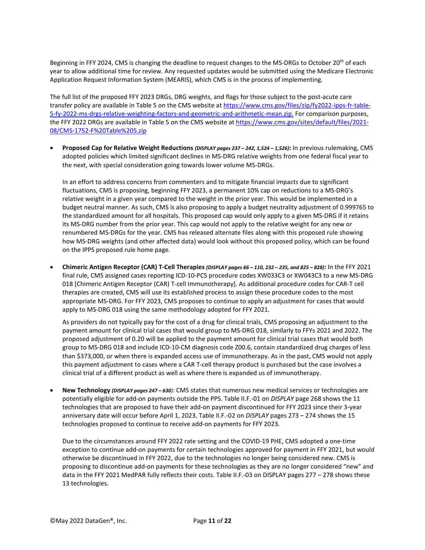Beginning in FFY 2024, CMS is changing the deadline to request changes to the MS-DRGs to October 20<sup>th</sup> of each year to allow additional time for review. Any requested updates would be submitted using the Medicare Electronic Application Request Information System (MEARIS), which CMS is in the process of implementing.

The full list of the proposed FFY 2023 DRGs, DRG weights, and flags for those subject to the post-acute care transfer policy are available in Table 5 on the CMS website at [https://www.cms.gov/files/zip/fy2022-ipps-fr-table-](https://www.cms.gov/files/zip/fy2022-ipps-fr-table-5-fy-2022-ms-drgs-relative-weighting-factors-and-geometric-and-arithmetic-mean.zip)[5-fy-2022-ms-drgs-relative-weighting-factors-and-geometric-and-arithmetic-mean.zip.](https://www.cms.gov/files/zip/fy2022-ipps-fr-table-5-fy-2022-ms-drgs-relative-weighting-factors-and-geometric-and-arithmetic-mean.zip) For comparison purposes, the FFY 2022 DRGs are available in Table 5 on the CMS website at [https://www.cms.gov/sites/default/files/2021-](https://www.cms.gov/sites/default/files/2021-08/CMS-1752-F%20Table%205.zip) [08/CMS-1752-F%20Table%205.zip](https://www.cms.gov/sites/default/files/2021-08/CMS-1752-F%20Table%205.zip)

• **Proposed Cap for Relative Weight Reductions** *(DISPLAY pages 237 – 242, 1,524 – 1,526)***:** In previous rulemaking, CMS adopted policies which limited significant declines in MS-DRG relative weights from one federal fiscal year to the next, with special consideration going towards lower volume MS-DRGs.

In an effort to address concerns from commenters and to mitigate financial impacts due to significant fluctuations, CMS is proposing, beginning FFY 2023, a permanent 10% cap on reductions to a MS-DRG's relative weight in a given year compared to the weight in the prior year. This would be implemented in a budget neutral manner. As such, CMS is also proposing to apply a budget neutrality adjustment of 0.999765 to the standardized amount for all hospitals. This proposed cap would only apply to a given MS-DRG if it retains its MS-DRG number from the prior year. This cap would not apply to the relative weight for any new or renumbered MS-DRGs for the year. CMS has released alternate files along with this proposed rule showing how MS-DRG weights (and other affected data) would look without this proposed policy, which can be found on the IPPS proposed rule home page.

• **Chimeric Antigen Receptor (CAR) T-Cell Therapies** *(DISPLAY pages 66 – 110, 232 – 235, and 825 – 828)***:** In the FFY 2021 final rule, CMS assigned cases reporting ICD-10-PCS procedure codes XW033C3 or XW043C3 to a new MS-DRG 018 [Chimeric Antigen Receptor (CAR) T-cell Immunotherapy]. As additional procedure codes for CAR-T cell therapies are created, CMS will use its established process to assign these procedure codes to the most appropriate MS-DRG. For FFY 2023, CMS proposes to continue to apply an adjustment for cases that would apply to MS-DRG 018 using the same methodology adopted for FFY 2021.

As providers do not typically pay for the cost of a drug for clinical trials, CMS proposing an adjustment to the payment amount for clinical trial cases that would group to MS-DRG 018, similarly to FFYs 2021 and 2022. The proposed adjustment of 0.20 will be applied to the payment amount for clinical trial cases that would both group to MS-DRG 018 and include ICD-10-CM diagnosis code Z00.6, contain standardized drug charges of less than \$373,000, or when there is expanded access use of immunotherapy. As in the past, CMS would not apply this payment adjustment to cases where a CAR T-cell therapy product is purchased but the case involves a clinical trial of a different product as well as where there is expanded us of immunotherapy.

• **New Technology** *(DISPLAY pages 247 – 630)*: CMS states that numerous new medical services or technologies are potentially eligible for add-on payments outside the PPS. Table II.F.-01 on *DISPLAY* page 268 shows the 11 technologies that are proposed to have their add-on payment discontinued for FFY 2023 since their 3-year anniversary date will occur before April 1, 2023. Table II.F.-02 on *DISPLAY* pages 273 – 274 shows the 15 technologies proposed to continue to receive add-on payments for FFY 2023.

Due to the circumstances around FFY 2022 rate setting and the COVID-19 PHE, CMS adopted a one-time exception to continue add-on payments for certain technologies approved for payment in FFY 2021, but would otherwise be discontinued in FFY 2022, due to the technologies no longer being considered new. CMS is proposing to discontinue add-on payments for these technologies as they are no longer considered "new" and data in the FFY 2021 MedPAR fully reflects their costs. Table II.F.-03 on DISPLAY pages 277 – 278 shows these 13 technologies.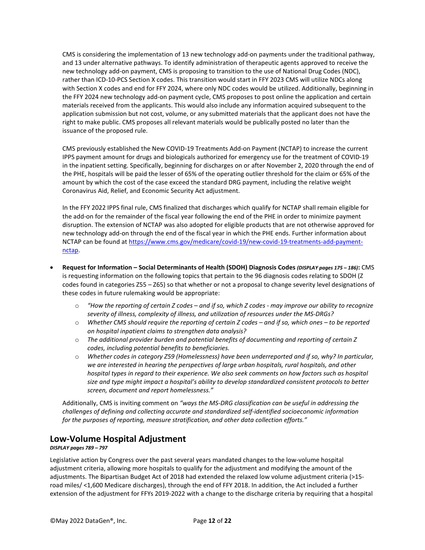CMS is considering the implementation of 13 new technology add-on payments under the traditional pathway, and 13 under alternative pathways. To identify administration of therapeutic agents approved to receive the new technology add-on payment, CMS is proposing to transition to the use of National Drug Codes (NDC), rather than ICD-10-PCS Section X codes. This transition would start in FFY 2023 CMS will utilize NDCs along with Section X codes and end for FFY 2024, where only NDC codes would be utilized. Additionally, beginning in the FFY 2024 new technology add-on payment cycle, CMS proposes to post online the application and certain materials received from the applicants. This would also include any information acquired subsequent to the application submission but not cost, volume, or any submitted materials that the applicant does not have the right to make public. CMS proposes all relevant materials would be publically posted no later than the issuance of the proposed rule.

CMS previously established the New COVID-19 Treatments Add-on Payment (NCTAP) to increase the current IPPS payment amount for drugs and biologicals authorized for emergency use for the treatment of COVID-19 in the inpatient setting. Specifically, beginning for discharges on or after November 2, 2020 through the end of the PHE, hospitals will be paid the lesser of 65% of the operating outlier threshold for the claim or 65% of the amount by which the cost of the case exceed the standard DRG payment, including the relative weight Coronavirus Aid, Relief, and Economic Security Act adjustment.

In the FFY 2022 IPPS final rule, CMS finalized that discharges which qualify for NCTAP shall remain eligible for the add-on for the remainder of the fiscal year following the end of the PHE in order to minimize payment disruption. The extension of NCTAP was also adopted for eligible products that are not otherwise approved for new technology add-on through the end of the fiscal year in which the PHE ends. Further information about NCTAP can be found a[t https://www.cms.gov/medicare/covid-19/new-covid-19-treatments-add-payment](https://www.cms.gov/medicare/covid-19/new-covid-19-treatments-add-payment-nctap)[nctap.](https://www.cms.gov/medicare/covid-19/new-covid-19-treatments-add-payment-nctap)

- **Request for Information Social Determinants of Health (SDOH) Diagnosis Codes** *(DISPLAY pages 175 186)***:** CMS is requesting information on the following topics that pertain to the 96 diagnosis codes relating to SDOH (Z codes found in categories Z55 – Z65) so that whether or not a proposal to change severity level designations of these codes in future rulemaking would be appropriate:
	- o *"How the reporting of certain Z codes and if so, which Z codes may improve our ability to recognize severity of illness, complexity of illness, and utilization of resources under the MS-DRGs?*
	- o *Whether CMS should require the reporting of certain Z codes and if so, which ones to be reported on hospital inpatient claims to strengthen data analysis?*
	- o *The additional provider burden and potential benefits of documenting and reporting of certain Z codes, including potential benefits to beneficiaries.*
	- o *Whether codes in category Z59 (Homelessness) have been underreported and if so, why? In particular, we are interested in hearing the perspectives of large urban hospitals, rural hospitals, and other hospital types in regard to their experience. We also seek comments on how factors such as hospital size and type might impact a hospital's ability to develop standardized consistent protocols to better screen, document and report homelessness."*

Additionally, CMS is inviting comment on *"ways the MS-DRG classification can be useful in addressing the challenges of defining and collecting accurate and standardized self-identified socioeconomic information for the purposes of reporting, measure stratification, and other data collection efforts."*

## **Low-Volume Hospital Adjustment**

#### *DISPLAY pages 789 – 797*

Legislative action by Congress over the past several years mandated changes to the low-volume hospital adjustment criteria, allowing more hospitals to qualify for the adjustment and modifying the amount of the adjustments. The Bipartisan Budget Act of 2018 had extended the relaxed low volume adjustment criteria (>15 road miles/ <1,600 Medicare discharges), through the end of FFY 2018. In addition, the Act included a further extension of the adjustment for FFYs 2019-2022 with a change to the discharge criteria by requiring that a hospital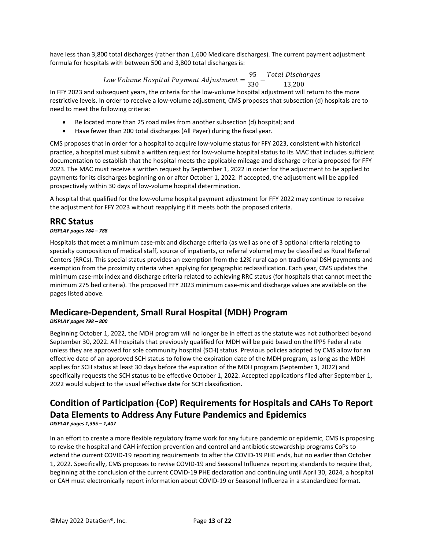have less than 3,800 total discharges (rather than 1,600 Medicare discharges). The current payment adjustment formula for hospitals with between 500 and 3,800 total discharges is:

Low Volume Hospital Payment Adjustment  $= \frac{95}{330} - \frac{Total \; Discount}{13,200}$ 

In FFY 2023 and subsequent years, the criteria for the low-volume hospital adjustment will return to the more restrictive levels. In order to receive a low-volume adjustment, CMS proposes that subsection (d) hospitals are to need to meet the following criteria:

- Be located more than 25 road miles from another subsection (d) hospital; and
- Have fewer than 200 total discharges (All Payer) during the fiscal year.

CMS proposes that in order for a hospital to acquire low-volume status for FFY 2023, consistent with historical practice, a hospital must submit a written request for low-volume hospital status to its MAC that includes sufficient documentation to establish that the hospital meets the applicable mileage and discharge criteria proposed for FFY 2023. The MAC must receive a written request by September 1, 2022 in order for the adjustment to be applied to payments for its discharges beginning on or after October 1, 2022. If accepted, the adjustment will be applied prospectively within 30 days of low-volume hospital determination.

A hospital that qualified for the low-volume hospital payment adjustment for FFY 2022 may continue to receive the adjustment for FFY 2023 without reapplying if it meets both the proposed criteria.

### **RRC Status**

#### *DISPLAY pages 784 – 788*

Hospitals that meet a minimum case-mix and discharge criteria (as well as one of 3 optional criteria relating to specialty composition of medical staff, source of inpatients, or referral volume) may be classified as Rural Referral Centers (RRCs). This special status provides an exemption from the 12% rural cap on traditional DSH payments and exemption from the proximity criteria when applying for geographic reclassification. Each year, CMS updates the minimum case-mix index and discharge criteria related to achieving RRC status (for hospitals that cannot meet the minimum 275 bed criteria). The proposed FFY 2023 minimum case-mix and discharge values are available on the pages listed above.

## **Medicare-Dependent, Small Rural Hospital (MDH) Program**

#### *DISPLAY pages 798 – 800*

Beginning October 1, 2022, the MDH program will no longer be in effect as the statute was not authorized beyond September 30, 2022. All hospitals that previously qualified for MDH will be paid based on the IPPS Federal rate unless they are approved for sole community hospital (SCH) status. Previous policies adopted by CMS allow for an effective date of an approved SCH status to follow the expiration date of the MDH program, as long as the MDH applies for SCH status at least 30 days before the expiration of the MDH program (September 1, 2022) and specifically requests the SCH status to be effective October 1, 2022. Accepted applications filed after September 1, 2022 would subject to the usual effective date for SCH classification.

## **Condition of Participation (CoP) Requirements for Hospitals and CAHs To Report Data Elements to Address Any Future Pandemics and Epidemics**

*DISPLAY pages 1,395 – 1,407*

In an effort to create a more flexible regulatory frame work for any future pandemic or epidemic, CMS is proposing to revise the hospital and CAH infection prevention and control and antibiotic stewardship programs CoPs to extend the current COVID-19 reporting requirements to after the COVID-19 PHE ends, but no earlier than October 1, 2022. Specifically, CMS proposes to revise COVID-19 and Seasonal Influenza reporting standards to require that, beginning at the conclusion of the current COVID-19 PHE declaration and continuing until April 30, 2024, a hospital or CAH must electronically report information about COVID-19 or Seasonal Influenza in a standardized format.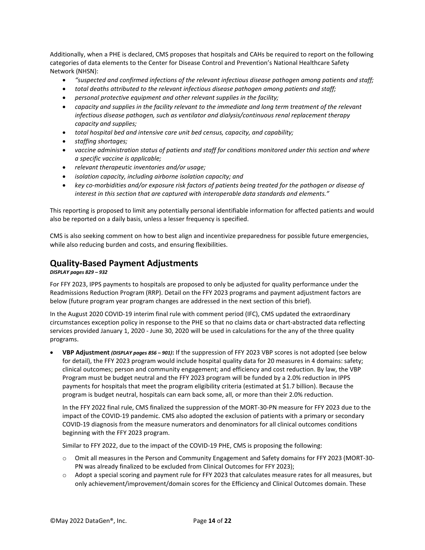Additionally, when a PHE is declared, CMS proposes that hospitals and CAHs be required to report on the following categories of data elements to the Center for Disease Control and Prevention's National Healthcare Safety Network (NHSN):

- *"suspected and confirmed infections of the relevant infectious disease pathogen among patients and staff;*
- *total deaths attributed to the relevant infectious disease pathogen among patients and staff;*
- *personal protective equipment and other relevant supplies in the facility;*
- *capacity and supplies in the facility relevant to the immediate and long term treatment of the relevant infectious disease pathogen, such as ventilator and dialysis/continuous renal replacement therapy capacity and supplies;*
- *total hospital bed and intensive care unit bed census, capacity, and capability;*
- *staffing shortages;*
- *vaccine administration status of patients and staff for conditions monitored under this section and where a specific vaccine is applicable;*
- *relevant therapeutic inventories and/or usage;*
- *isolation capacity, including airborne isolation capacity; and*
- *key co-morbidities and/or exposure risk factors of patients being treated for the pathogen or disease of interest in this section that are captured with interoperable data standards and elements."*

This reporting is proposed to limit any potentially personal identifiable information for affected patients and would also be reported on a daily basis, unless a lesser frequency is specified.

CMS is also seeking comment on how to best align and incentivize preparedness for possible future emergencies, while also reducing burden and costs, and ensuring flexibilities.

## **Quality-Based Payment Adjustments**

#### *DISPLAY pages 829 – 932*

For FFY 2023, IPPS payments to hospitals are proposed to only be adjusted for quality performance under the Readmissions Reduction Program (RRP). Detail on the FFY 2023 programs and payment adjustment factors are below (future program year program changes are addressed in the next section of this brief).

In the August 2020 COVID-19 interim final rule with comment period (IFC), CMS updated the extraordinary circumstances exception policy in response to the PHE so that no claims data or chart-abstracted data reflecting services provided January 1, 2020 - June 30, 2020 will be used in calculations for the any of the three quality programs.

• **VBP Adjustment** *(DISPLAY pages 856 – 901)***:** If the suppression of FFY 2023 VBP scores is not adopted (see below for detail), the FFY 2023 program would include hospital quality data for 20 measures in 4 domains: safety; clinical outcomes; person and community engagement; and efficiency and cost reduction. By law, the VBP Program must be budget neutral and the FFY 2023 program will be funded by a 2.0% reduction in IPPS payments for hospitals that meet the program eligibility criteria (estimated at \$1.7 billion). Because the program is budget neutral, hospitals can earn back some, all, or more than their 2.0% reduction.

In the FFY 2022 final rule, CMS finalized the suppression of the MORT-30-PN measure for FFY 2023 due to the impact of the COVID-19 pandemic. CMS also adopted the exclusion of patients with a primary or secondary COVID-19 diagnosis from the measure numerators and denominators for all clinical outcomes conditions beginning with the FFY 2023 program.

Similar to FFY 2022, due to the impact of the COVID-19 PHE, CMS is proposing the following:

- o Omit all measures in the Person and Community Engagement and Safety domains for FFY 2023 (MORT-30- PN was already finalized to be excluded from Clinical Outcomes for FFY 2023);
- $\circ$  Adopt a special scoring and payment rule for FFY 2023 that calculates measure rates for all measures, but only achievement/improvement/domain scores for the Efficiency and Clinical Outcomes domain. These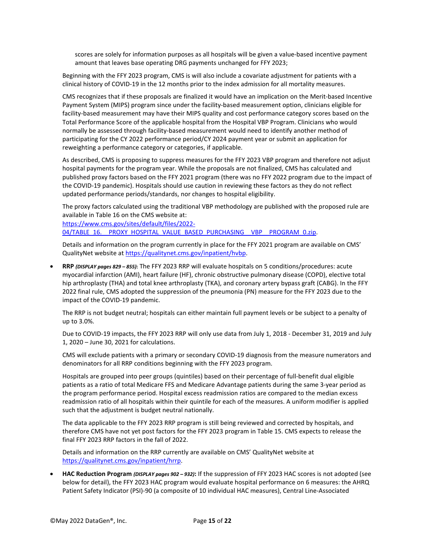scores are solely for information purposes as all hospitals will be given a value-based incentive payment amount that leaves base operating DRG payments unchanged for FFY 2023;

Beginning with the FFY 2023 program, CMS is will also include a covariate adjustment for patients with a clinical history of COVID-19 in the 12 months prior to the index admission for all mortality measures.

CMS recognizes that if these proposals are finalized it would have an implication on the Merit-based Incentive Payment System (MIPS) program since under the facility-based measurement option, clinicians eligible for facility-based measurement may have their MIPS quality and cost performance category scores based on the Total Performance Score of the applicable hospital from the Hospital VBP Program. Clinicians who would normally be assessed through facility-based measurement would need to identify another method of participating for the CY 2022 performance period/CY 2024 payment year or submit an application for reweighting a performance category or categories, if applicable.

As described, CMS is proposing to suppress measures for the FFY 2023 VBP program and therefore not adjust hospital payments for the program year. While the proposals are not finalized, CMS has calculated and published proxy factors based on the FFY 2021 program (there was no FFY 2022 program due to the impact of the COVID-19 pandemic). Hospitals should use caution in reviewing these factors as they do not reflect updated performance periods/standards, nor changes to hospital eligibility.

The proxy factors calculated using the traditional VBP methodology are published with the proposed rule are available in Table 16 on the CMS website at:

[https://www.cms.gov/sites/default/files/2022-](https://www.cms.gov/sites/default/files/2022-04/TABLE_16.__PROXY_HOSPITAL_VALUE_BASED_PURCHASING__VBP__PROGRAM_0.zip) 04/TABLE\_16. PROXY\_HOSPITAL\_VALUE\_BASED\_PURCHASING\_\_VBP\_\_PROGRAM\_0.zip.

Details and information on the program currently in place for the FFY 2021 program are available on CMS' QualityNet website at [https://qualitynet.cms.gov/inpatient/hvbp.](https://qualitynet.cms.gov/inpatient/hvbp)

• **RRP** *(DISPLAY pages 829 – 855)***:** The FFY 2023 RRP will evaluate hospitals on 5 conditions/procedures: acute myocardial infarction (AMI), heart failure (HF), chronic obstructive pulmonary disease (COPD), elective total hip arthroplasty (THA) and total knee arthroplasty (TKA), and coronary artery bypass graft (CABG). In the FFY 2022 final rule, CMS adopted the suppression of the pneumonia (PN) measure for the FFY 2023 due to the impact of the COVID-19 pandemic.

The RRP is not budget neutral; hospitals can either maintain full payment levels or be subject to a penalty of up to 3.0%.

Due to COVID-19 impacts, the FFY 2023 RRP will only use data from July 1, 2018 - December 31, 2019 and July 1, 2020 – June 30, 2021 for calculations.

CMS will exclude patients with a primary or secondary COVID-19 diagnosis from the measure numerators and denominators for all RRP conditions beginning with the FFY 2023 program.

Hospitals are grouped into peer groups (quintiles) based on their percentage of full-benefit dual eligible patients as a ratio of total Medicare FFS and Medicare Advantage patients during the same 3-year period as the program performance period. Hospital excess readmission ratios are compared to the median excess readmission ratio of all hospitals within their quintile for each of the measures. A uniform modifier is applied such that the adjustment is budget neutral nationally.

The data applicable to the FFY 2023 RRP program is still being reviewed and corrected by hospitals, and therefore CMS have not yet post factors for the FFY 2023 program in Table 15. CMS expects to release the final FFY 2023 RRP factors in the fall of 2022.

Details and information on the RRP currently are available on CMS' QualityNet website at [https://qualitynet.cms.gov/inpatient/hrrp.](https://qualitynet.cms.gov/inpatient/hrrp)

• **HAC Reduction Program** *(DISPLAY pages 902 – 932)***:** If the suppression of FFY 2023 HAC scores is not adopted (see below for detail), the FFY 2023 HAC program would evaluate hospital performance on 6 measures: the AHRQ Patient Safety Indicator (PSI)-90 (a composite of 10 individual HAC measures), Central Line-Associated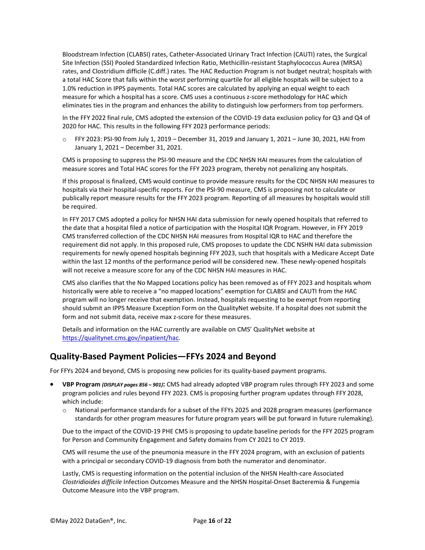Bloodstream Infection (CLABSI) rates, Catheter-Associated Urinary Tract Infection (CAUTI) rates, the Surgical Site Infection (SSI) Pooled Standardized Infection Ratio, Methicillin-resistant Staphylococcus Aurea (MRSA) rates, and Clostridium difficile (C.diff.) rates. The HAC Reduction Program is not budget neutral; hospitals with a total HAC Score that falls within the worst performing quartile for all eligible hospitals will be subject to a 1.0% reduction in IPPS payments. Total HAC scores are calculated by applying an equal weight to each measure for which a hospital has a score. CMS uses a continuous z-score methodology for HAC which eliminates ties in the program and enhances the ability to distinguish low performers from top performers.

In the FFY 2022 final rule, CMS adopted the extension of the COVID-19 data exclusion policy for Q3 and Q4 of 2020 for HAC. This results in the following FFY 2023 performance periods:

 $\circ$  FFY 2023: PSI-90 from July 1, 2019 – December 31, 2019 and January 1, 2021 – June 30, 2021, HAI from January 1, 2021 – December 31, 2021.

CMS is proposing to suppress the PSI-90 measure and the CDC NHSN HAI measures from the calculation of measure scores and Total HAC scores for the FFY 2023 program, thereby not penalizing any hospitals.

If this proposal is finalized, CMS would continue to provide measure results for the CDC NHSN HAI measures to hospitals via their hospital-specific reports. For the PSI-90 measure, CMS is proposing not to calculate or publically report measure results for the FFY 2023 program. Reporting of all measures by hospitals would still be required.

In FFY 2017 CMS adopted a policy for NHSN HAI data submission for newly opened hospitals that referred to the date that a hospital filed a notice of participation with the Hospital IQR Program. However, in FFY 2019 CMS transferred collection of the CDC NHSN HAI measures from Hospital IQR to HAC and therefore the requirement did not apply. In this proposed rule, CMS proposes to update the CDC NSHN HAI data submission requirements for newly opened hospitals beginning FFY 2023, such that hospitals with a Medicare Accept Date within the last 12 months of the performance period will be considered new. These newly-opened hospitals will not receive a measure score for any of the CDC NHSN HAI measures in HAC.

CMS also clarifies that the No Mapped Locations policy has been removed as of FFY 2023 and hospitals whom historically were able to receive a "no mapped locations" exemption for CLABSI and CAUTI from the HAC program will no longer receive that exemption. Instead, hospitals requesting to be exempt from reporting should submit an IPPS Measure Exception Form on the QualityNet website. If a hospital does not submit the form and not submit data, receive max z-score for these measures.

Details and information on the HAC currently are available on CMS' QualityNet website at [https://qualitynet.cms.gov/inpatient/hac.](https://qualitynet.cms.gov/inpatient/hac) 

### **Quality-Based Payment Policies—FFYs 2024 and Beyond**

For FFYs 2024 and beyond, CMS is proposing new policies for its quality-based payment programs.

- **VBP Program** *(DISPLAY pages 856 901)***:** CMS had already adopted VBP program rules through FFY 2023 and some program policies and rules beyond FFY 2023. CMS is proposing further program updates through FFY 2028, which include:
	- National performance standards for a subset of the FFYs 2025 and 2028 program measures (performance standards for other program measures for future program years will be put forward in future rulemaking).

Due to the impact of the COVID-19 PHE CMS is proposing to update baseline periods for the FFY 2025 program for Person and Community Engagement and Safety domains from CY 2021 to CY 2019.

CMS will resume the use of the pneumonia measure in the FFY 2024 program, with an exclusion of patients with a principal or secondary COVID-19 diagnosis from both the numerator and denominator.

Lastly, CMS is requesting information on the potential inclusion of the NHSN Health-care Associated *Clostridioides difficile* Infection Outcomes Measure and the NHSN Hospital-Onset Bacteremia & Fungemia Outcome Measure into the VBP program.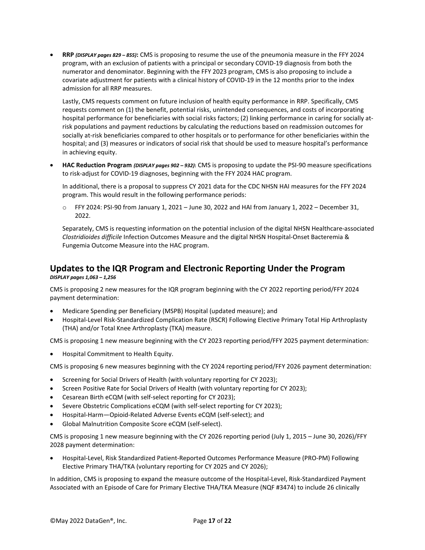• **RRP** *(DISPLAY pages 829 – 855)***:** CMS is proposing to resume the use of the pneumonia measure in the FFY 2024 program, with an exclusion of patients with a principal or secondary COVID-19 diagnosis from both the numerator and denominator. Beginning with the FFY 2023 program, CMS is also proposing to include a covariate adjustment for patients with a clinical history of COVID-19 in the 12 months prior to the index admission for all RRP measures.

Lastly, CMS requests comment on future inclusion of health equity performance in RRP. Specifically, CMS requests comment on (1) the benefit, potential risks, unintended consequences, and costs of incorporating hospital performance for beneficiaries with social risks factors; (2) linking performance in caring for socially atrisk populations and payment reductions by calculating the reductions based on readmission outcomes for socially at-risk beneficiaries compared to other hospitals or to performance for other beneficiaries within the hospital; and (3) measures or indicators of social risk that should be used to measure hospital's performance in achieving equity.

• **HAC Reduction Program** *(DISPLAY pages 902 – 932)***:** CMS is proposing to update the PSI-90 measure specifications to risk-adjust for COVID-19 diagnoses, beginning with the FFY 2024 HAC program.

In additional, there is a proposal to suppress CY 2021 data for the CDC NHSN HAI measures for the FFY 2024 program. This would result in the following performance periods:

 $\circ$  FFY 2024: PSI-90 from January 1, 2021 – June 30, 2022 and HAI from January 1, 2022 – December 31, 2022.

Separately, CMS is requesting information on the potential inclusion of the digital NHSN Healthcare-associated *Clostridioides difficile* Infection Outcomes Measure and the digital NHSN Hospital-Onset Bacteremia & Fungemia Outcome Measure into the HAC program.

#### **Updates to the IQR Program and Electronic Reporting Under the Program** *DISPLAY pages 1,063 – 1,256*

CMS is proposing 2 new measures for the IQR program beginning with the CY 2022 reporting period/FFY 2024 payment determination:

- Medicare Spending per Beneficiary (MSPB) Hospital (updated measure); and
- Hospital-Level Risk-Standardized Complication Rate (RSCR) Following Elective Primary Total Hip Arthroplasty (THA) and/or Total Knee Arthroplasty (TKA) measure.

CMS is proposing 1 new measure beginning with the CY 2023 reporting period/FFY 2025 payment determination:

• Hospital Commitment to Health Equity.

CMS is proposing 6 new measures beginning with the CY 2024 reporting period/FFY 2026 payment determination:

- Screening for Social Drivers of Health (with voluntary reporting for CY 2023);
- Screen Positive Rate for Social Drivers of Health (with voluntary reporting for CY 2023);
- Cesarean Birth eCQM (with self-select reporting for CY 2023);
- Severe Obstetric Complications eCQM (with self-select reporting for CY 2023);
- Hospital-Harm—Opioid-Related Adverse Events eCQM (self-select); and
- Global Malnutrition Composite Score eCQM (self-select).

CMS is proposing 1 new measure beginning with the CY 2026 reporting period (July 1, 2015 – June 30, 2026)/FFY 2028 payment determination:

• Hospital-Level, Risk Standardized Patient-Reported Outcomes Performance Measure (PRO-PM) Following Elective Primary THA/TKA (voluntary reporting for CY 2025 and CY 2026);

In addition, CMS is proposing to expand the measure outcome of the Hospital-Level, Risk-Standardized Payment Associated with an Episode of Care for Primary Elective THA/TKA Measure (NQF #3474) to include 26 clinically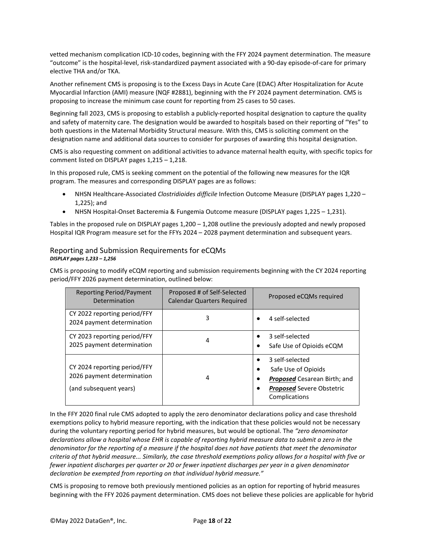vetted mechanism complication ICD-10 codes, beginning with the FFY 2024 payment determination. The measure "outcome" is the hospital-level, risk-standardized payment associated with a 90-day episode-of-care for primary elective THA and/or TKA.

Another refinement CMS is proposing is to the Excess Days in Acute Care (EDAC) After Hospitalization for Acute Myocardial Infarction (AMI) measure (NQF #2881), beginning with the FY 2024 payment determination. CMS is proposing to increase the minimum case count for reporting from 25 cases to 50 cases.

Beginning fall 2023, CMS is proposing to establish a publicly-reported hospital designation to capture the quality and safety of maternity care. The designation would be awarded to hospitals based on their reporting of "Yes" to both questions in the Maternal Morbidity Structural measure. With this, CMS is soliciting comment on the designation name and additional data sources to consider for purposes of awarding this hospital designation.

CMS is also requesting comment on additional activities to advance maternal health equity, with specific topics for comment listed on DISPLAY pages 1,215 – 1,218.

In this proposed rule, CMS is seeking comment on the potential of the following new measures for the IQR program. The measures and corresponding DISPLAY pages are as follows:

- NHSN Healthcare-Associated *Clostridioides difficile* Infection Outcome Measure (DISPLAY pages 1,220 1,225); and
- NHSN Hospital-Onset Bacteremia & Fungemia Outcome measure (DISPLAY pages 1,225 1,231).

Tables in the proposed rule on DISPLAY pages 1,200 – 1,208 outline the previously adopted and newly proposed Hospital IQR Program measure set for the FFYs 2024 – 2028 payment determination and subsequent years.

#### Reporting and Submission Requirements for eCQMs *DISPLAY pages 1,233 – 1,256*

CMS is proposing to modify eCQM reporting and submission requirements beginning with the CY 2024 reporting period/FFY 2026 payment determination, outlined below:

| <b>Reporting Period/Payment</b><br>Determination                                     | Proposed # of Self-Selected<br><b>Calendar Quarters Required</b> | Proposed eCQMs required                                                                                                            |
|--------------------------------------------------------------------------------------|------------------------------------------------------------------|------------------------------------------------------------------------------------------------------------------------------------|
| CY 2022 reporting period/FFY<br>2024 payment determination                           | 3                                                                | 4 self-selected                                                                                                                    |
| CY 2023 reporting period/FFY<br>2025 payment determination                           | 4                                                                | 3 self-selected<br>Safe Use of Opioids eCQM                                                                                        |
| CY 2024 reporting period/FFY<br>2026 payment determination<br>(and subsequent years) | 4                                                                | 3 self-selected<br>Safe Use of Opioids<br><b>Proposed</b> Cesarean Birth; and<br><b>Proposed Severe Obstetric</b><br>Complications |

In the FFY 2020 final rule CMS adopted to apply the zero denominator declarations policy and case threshold exemptions policy to hybrid measure reporting, with the indication that these policies would not be necessary during the voluntary reporting period for hybrid measures, but would be optional. The *"zero denominator declarations allow a hospital whose EHR is capable of reporting hybrid measure data to submit a zero in the denominator for the reporting of a measure if the hospital does not have patients that meet the denominator criteria of that hybrid measure... Similarly, the case threshold exemptions policy allows for a hospital with five or fewer inpatient discharges per quarter or 20 or fewer inpatient discharges per year in a given denominator declaration be exempted from reporting on that individual hybrid measure."*

CMS is proposing to remove both previously mentioned policies as an option for reporting of hybrid measures beginning with the FFY 2026 payment determination. CMS does not believe these policies are applicable for hybrid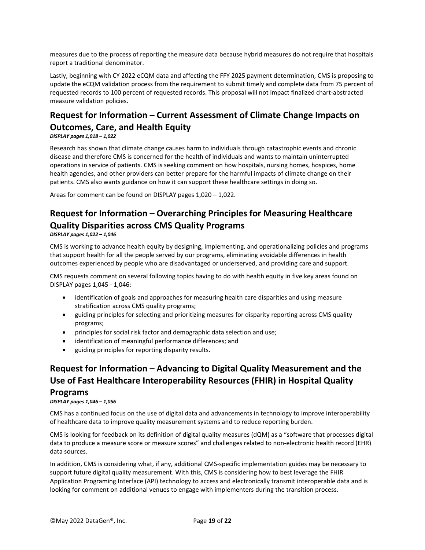measures due to the process of reporting the measure data because hybrid measures do not require that hospitals report a traditional denominator.

Lastly, beginning with CY 2022 eCQM data and affecting the FFY 2025 payment determination, CMS is proposing to update the eCQM validation process from the requirement to submit timely and complete data from 75 percent of requested records to 100 percent of requested records. This proposal will not impact finalized chart-abstracted measure validation policies.

#### **Request for Information – Current Assessment of Climate Change Impacts on Outcomes, Care, and Health Equity** *DISPLAY pages 1,018 – 1,022*

Research has shown that climate change causes harm to individuals through catastrophic events and chronic disease and therefore CMS is concerned for the health of individuals and wants to maintain uninterrupted operations in service of patients. CMS is seeking comment on how hospitals, nursing homes, hospices, home health agencies, and other providers can better prepare for the harmful impacts of climate change on their patients. CMS also wants guidance on how it can support these healthcare settings in doing so.

Areas for comment can be found on DISPLAY pages 1,020 – 1,022.

## **Request for Information – Overarching Principles for Measuring Healthcare Quality Disparities across CMS Quality Programs**

*DISPLAY pages 1,022 – 1,046*

CMS is working to advance health equity by designing, implementing, and operationalizing policies and programs that support health for all the people served by our programs, eliminating avoidable differences in health outcomes experienced by people who are disadvantaged or underserved, and providing care and support.

CMS requests comment on several following topics having to do with health equity in five key areas found on DISPLAY pages 1,045 - 1,046:

- identification of goals and approaches for measuring health care disparities and using measure stratification across CMS quality programs;
- guiding principles for selecting and prioritizing measures for disparity reporting across CMS quality programs;
- principles for social risk factor and demographic data selection and use;
- identification of meaningful performance differences; and
- guiding principles for reporting disparity results.

## **Request for Information – Advancing to Digital Quality Measurement and the Use of Fast Healthcare Interoperability Resources (FHIR) in Hospital Quality Programs**

#### *DISPLAY pages 1,046 – 1,056*

CMS has a continued focus on the use of digital data and advancements in technology to improve interoperability of healthcare data to improve quality measurement systems and to reduce reporting burden.

CMS is looking for feedback on its definition of digital quality measures (dQM) as a "software that processes digital data to produce a measure score or measure scores" and challenges related to non-electronic health record (EHR) data sources.

In addition, CMS is considering what, if any, additional CMS-specific implementation guides may be necessary to support future digital quality measurement. With this, CMS is considering how to best leverage the FHIR Application Programing Interface (API) technology to access and electronically transmit interoperable data and is looking for comment on additional venues to engage with implementers during the transition process.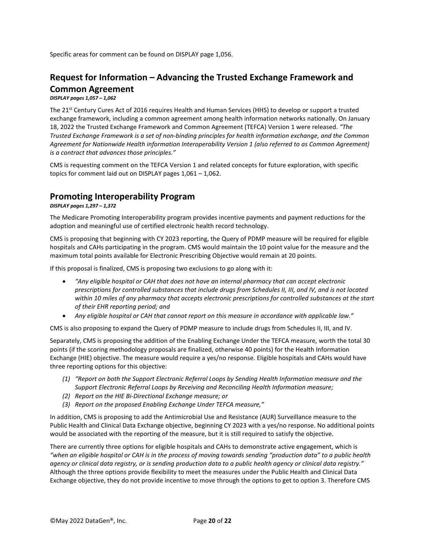Specific areas for comment can be found on DISPLAY page 1,056.

## **Request for Information – Advancing the Trusted Exchange Framework and Common Agreement**

*DISPLAY pages 1,057 – 1,062*

The 21<sup>st</sup> Century Cures Act of 2016 requires Health and Human Services (HHS) to develop or support a trusted exchange framework, including a common agreement among health information networks nationally. On January 18, 2022 the Trusted Exchange Framework and Common Agreement (TEFCA) Version 1 were released. *"The Trusted Exchange Framework is a set of non-binding principles for health information exchange, and the Common Agreement for Nationwide Health information Interoperability Version 1 (also referred to as Common Agreement) is a contract that advances those principles."* 

CMS is requesting comment on the TEFCA Version 1 and related concepts for future exploration, with specific topics for comment laid out on DISPLAY pages 1,061 – 1,062.

### **Promoting Interoperability Program**

#### *DISPLAY pages 1,297 – 1,372*

The Medicare Promoting Interoperability program provides incentive payments and payment reductions for the adoption and meaningful use of certified electronic health record technology.

CMS is proposing that beginning with CY 2023 reporting, the Query of PDMP measure will be required for eligible hospitals and CAHs participating in the program. CMS would maintain the 10 point value for the measure and the maximum total points available for Electronic Prescribing Objective would remain at 20 points.

If this proposal is finalized, CMS is proposing two exclusions to go along with it:

- *"Any eligible hospital or CAH that does not have an internal pharmacy that can accept electronic prescriptions for controlled substances that include drugs from Schedules II, III, and IV, and is not located within 10 miles of any pharmacy that accepts electronic prescriptions for controlled substances at the start of their EHR reporting period; and*
- *Any eligible hospital or CAH that cannot report on this measure in accordance with applicable law."*

CMS is also proposing to expand the Query of PDMP measure to include drugs from Schedules II, III, and IV.

Separately, CMS is proposing the addition of the Enabling Exchange Under the TEFCA measure, worth the total 30 points (if the scoring methodology proposals are finalized, otherwise 40 points) for the Health Information Exchange (HIE) objective. The measure would require a yes/no response. Eligible hospitals and CAHs would have three reporting options for this objective:

- *(1) "Report on both the Support Electronic Referral Loops by Sending Health Information measure and the Support Electronic Referral Loops by Receiving and Reconciling Health Information measure;*
- *(2) Report on the HIE Bi-Directional Exchange measure; or*
- *(3) Report on the proposed Enabling Exchange Under TEFCA measure,"*

In addition, CMS is proposing to add the Antimicrobial Use and Resistance (AUR) Surveillance measure to the Public Health and Clinical Data Exchange objective, beginning CY 2023 with a yes/no response. No additional points would be associated with the reporting of the measure, but it is still required to satisfy the objective.

There are currently three options for eligible hospitals and CAHs to demonstrate active engagement, which is *"when an eligible hospital or CAH is in the process of moving towards sending "production data" to a public health agency or clinical data registry, or is sending production data to a public health agency or clinical data registry."* Although the three options provide flexibility to meet the measures under the Public Health and Clinical Data Exchange objective, they do not provide incentive to move through the options to get to option 3. Therefore CMS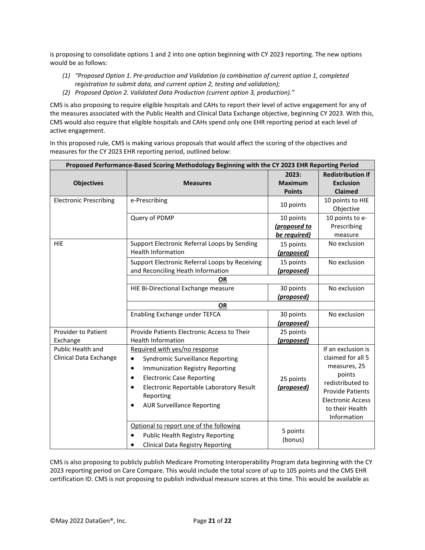is proposing to consolidate options 1 and 2 into one option beginning with CY 2023 reporting. The new options would be as follows:

- *(1) "Proposed Option 1. Pre-production and Validation (a combination of current option 1, completed registration to submit data, and current option 2, testing and validation);*
- *(2) Proposed Option 2. Validated Data Production (current option 3, production)."*

CMS is also proposing to require eligible hospitals and CAHs to report their level of active engagement for any of the measures associated with the Public Health and Clinical Data Exchange objective, beginning CY 2023. With this, CMS would also require that eligible hospitals and CAHs spend only one EHR reporting period at each level of active engagement.

In this proposed rule, CMS is making various proposals that would affect the scoring of the objectives and measures for the CY 2023 EHR reporting period, outlined below:

| Proposed Performance-Based Scoring Methodology Beginning with the CY 2023 EHR Reporting Period |                                                      |                   |                          |
|------------------------------------------------------------------------------------------------|------------------------------------------------------|-------------------|--------------------------|
|                                                                                                |                                                      | 2023:             | <b>Redistribution if</b> |
| <b>Objectives</b>                                                                              | <b>Measures</b>                                      | <b>Maximum</b>    | <b>Exclusion</b>         |
|                                                                                                |                                                      | <b>Points</b>     | Claimed                  |
| <b>Electronic Prescribing</b>                                                                  | e-Prescribing                                        |                   | 10 points to HIE         |
|                                                                                                |                                                      | 10 points         | Objective                |
|                                                                                                | Query of PDMP                                        | 10 points         | 10 points to e-          |
|                                                                                                |                                                      | (proposed to      | Prescribing              |
|                                                                                                |                                                      | be required)      | measure                  |
| <b>HIE</b>                                                                                     | Support Electronic Referral Loops by Sending         | 15 points         | No exclusion             |
|                                                                                                | <b>Health Information</b>                            | <u>(proposed)</u> |                          |
|                                                                                                | Support Electronic Referral Loops by Receiving       | 15 points         | No exclusion             |
|                                                                                                | and Reconciling Heath Information                    | (proposed)        |                          |
|                                                                                                | OR.                                                  |                   |                          |
|                                                                                                | HIE Bi-Directional Exchange measure                  | 30 points         | No exclusion             |
|                                                                                                |                                                      | (proposed)        |                          |
|                                                                                                | <b>OR</b>                                            |                   |                          |
|                                                                                                | Enabling Exchange under TEFCA                        | 30 points         | No exclusion             |
|                                                                                                |                                                      | (proposed)        |                          |
| <b>Provider to Patient</b>                                                                     | Provide Patients Electronic Access to Their          | 25 points         |                          |
| Exchange                                                                                       | <b>Health Information</b>                            | (proposed)        |                          |
| Public Health and                                                                              | Required with yes/no response                        |                   | If an exclusion is       |
| Clinical Data Exchange                                                                         | Syndromic Surveillance Reporting                     |                   | claimed for all 5        |
|                                                                                                | Immunization Registry Reporting<br>$\bullet$         |                   | measures, 25             |
|                                                                                                | <b>Electronic Case Reporting</b><br>$\bullet$        | 25 points         | points                   |
|                                                                                                | Electronic Reportable Laboratory Result<br>$\bullet$ | (proposed)        | redistributed to         |
|                                                                                                | Reporting                                            |                   | <b>Provide Patients</b>  |
|                                                                                                | <b>AUR Surveillance Reporting</b>                    |                   | <b>Electronic Access</b> |
|                                                                                                |                                                      |                   | to their Health          |
|                                                                                                |                                                      |                   | Information              |
|                                                                                                | Optional to report one of the following              | 5 points          |                          |
|                                                                                                | <b>Public Health Registry Reporting</b>              | (bonus)           |                          |
|                                                                                                | <b>Clinical Data Registry Reporting</b>              |                   |                          |

CMS is also proposing to publicly publish Medicare Promoting Interoperability Program data beginning with the CY 2023 reporting period on Care Compare. This would include the total score of up to 105 points and the CMS EHR certification ID. CMS is not proposing to publish individual measure scores at this time. This would be available as